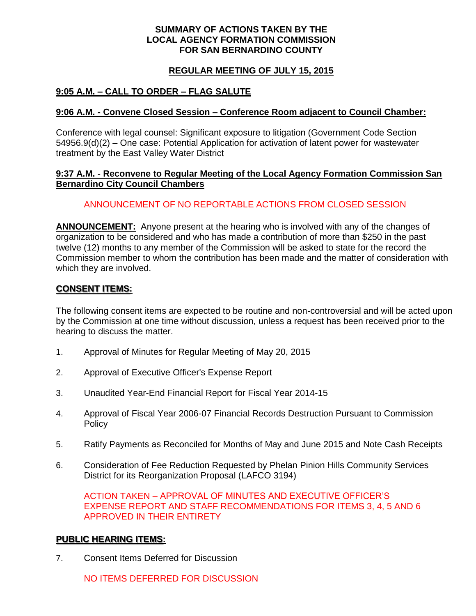### **SUMMARY OF ACTIONS TAKEN BY THE LOCAL AGENCY FORMATION COMMISSION FOR SAN BERNARDINO COUNTY**

## **REGULAR MEETING OF JULY 15, 2015**

# **9:05 A.M. – CALL TO ORDER – FLAG SALUTE**

### **9:06 A.M. - Convene Closed Session – Conference Room adjacent to Council Chamber:**

Conference with legal counsel: Significant exposure to litigation (Government Code Section 54956.9(d)(2) – One case: Potential Application for activation of latent power for wastewater treatment by the East Valley Water District

### **9:37 A.M. - Reconvene to Regular Meeting of the Local Agency Formation Commission San Bernardino City Council Chambers**

## ANNOUNCEMENT OF NO REPORTABLE ACTIONS FROM CLOSED SESSION

**ANNOUNCEMENT:** Anyone present at the hearing who is involved with any of the changes of organization to be considered and who has made a contribution of more than \$250 in the past twelve (12) months to any member of the Commission will be asked to state for the record the Commission member to whom the contribution has been made and the matter of consideration with which they are involved.

## **CONSENT ITEMS:**

The following consent items are expected to be routine and non-controversial and will be acted upon by the Commission at one time without discussion, unless a request has been received prior to the hearing to discuss the matter.

- 1. Approval of Minutes for Regular Meeting of May 20, 2015
- 2. Approval of Executive Officer's Expense Report
- 3. Unaudited Year-End Financial Report for Fiscal Year 2014-15
- 4. Approval of Fiscal Year 2006-07 Financial Records Destruction Pursuant to Commission **Policy**
- 5. Ratify Payments as Reconciled for Months of May and June 2015 and Note Cash Receipts
- 6. Consideration of Fee Reduction Requested by Phelan Pinion Hills Community Services District for its Reorganization Proposal (LAFCO 3194)

ACTION TAKEN – APPROVAL OF MINUTES AND EXECUTIVE OFFICER'S EXPENSE REPORT AND STAFF RECOMMENDATIONS FOR ITEMS 3, 4, 5 AND 6 APPROVED IN THEIR ENTIRETY

#### **PUBLIC HEARING ITEMS:**

7. Consent Items Deferred for Discussion

NO ITEMS DEFERRED FOR DISCUSSION